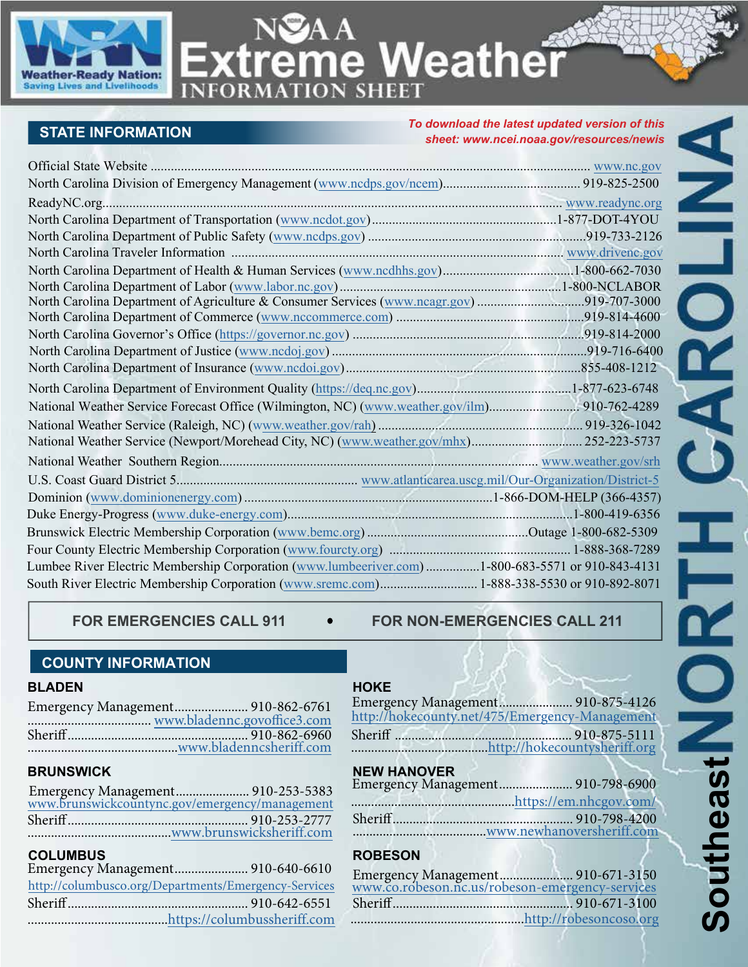

**ATION SHEET** 

eme Weather

## **STATE INFORMATION**

**INFOR** 

*To download the latest updated version of this sheet: www.ncei.noaa.gov/resources/newis*

| North Carolina Department of Agriculture & Consumer Services (www.ncagr.gov)919-707-3000         |  |
|--------------------------------------------------------------------------------------------------|--|
|                                                                                                  |  |
|                                                                                                  |  |
|                                                                                                  |  |
|                                                                                                  |  |
|                                                                                                  |  |
| National Weather Service Forecast Office (Wilmington, NC) (www.weather.gov/ilm) 910-762-4289     |  |
|                                                                                                  |  |
|                                                                                                  |  |
|                                                                                                  |  |
|                                                                                                  |  |
|                                                                                                  |  |
|                                                                                                  |  |
|                                                                                                  |  |
|                                                                                                  |  |
| Lumbee River Electric Membership Corporation (www.lumbeeriver.com)1-800-683-5571 or 910-843-4131 |  |
| South River Electric Membership Corporation (www.sremc.com) 1-888-338-5530 or 910-892-8071       |  |

FOR EMERGENCIES CALL 911  $\bullet$  FOR NON-EMERGENCIES CALL 211

#### **COUNTY INFORMATION**

#### **BLADEN**

| www.bladenncsheriff.com |  |
|-------------------------|--|

#### **BRUNSWICK**

|  | Emergency Management 910-253-5383<br>www.brunswickcountync.gov/emergency/management |
|--|-------------------------------------------------------------------------------------|
|  |                                                                                     |
|  |                                                                                     |
|  |                                                                                     |
|  |                                                                                     |

### **COLUMBUS**

| Emergency Management 910-640-6610                    |  |  |  |
|------------------------------------------------------|--|--|--|
| http://columbusco.org/Departments/Emergency-Services |  |  |  |
|                                                      |  |  |  |
|                                                      |  |  |  |
|                                                      |  |  |  |

#### **HOKE**

| Emergency Management 910-875-4126              |              |
|------------------------------------------------|--------------|
| http://hokecounty.net/475/Emergency-Management |              |
| Sheriff                                        | 910-875-5111 |

| Sheriff | 10-875-5111 |
|---------|-------------|
|         |             |
|         |             |

#### **NEW HANOVER**

| Emergency Management 910-798-6900 |  |
|-----------------------------------|--|
|                                   |  |
|                                   |  |
|                                   |  |

### **ROBESON**

| Emergency Management 910-671-3150<br>www.co.robeson.nc.us/robeson-emergency-services |  |
|--------------------------------------------------------------------------------------|--|
|                                                                                      |  |
|                                                                                      |  |